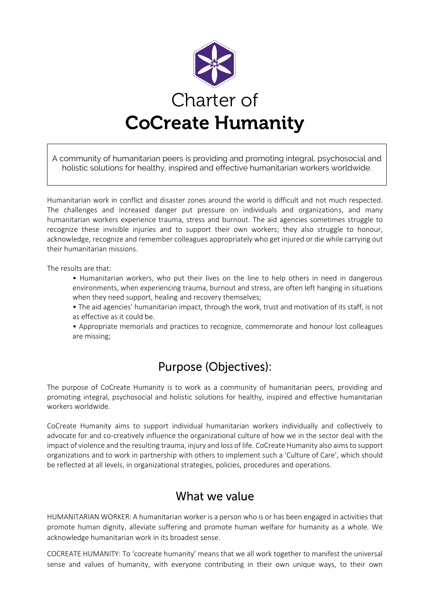

A community of humanitarian peers is providing and promoting integral, psychosocial and holistic solutions for healthy, inspired and effective humanitarian workers worldwide.

Humanitarian work in conflict and disaster zones around the world is difficult and not much respected. The challenges and increased danger put pressure on individuals and organizations, and many humanitarian workers experience trauma, stress and burnout. The aid agencies sometimes struggle to recognize these invisible injuries and to support their own workers; they also struggle to honour, acknowledge, recognize and remember colleagues appropriately who get injured or die while carrying out their humanitarian missions.

The results are that:

• Humanitarian workers, who put their lives on the line to help others in need in dangerous environments, when experiencing trauma, burnout and stress, are often left hanging in situations when they need support, healing and recovery themselves;

• The aid agencies' humanitarian impact, through the work, trust and motivation of its staff, is not as effective as it could be.

• Appropriate memorials and practices to recognize, commemorate and honour lost colleagues are missing;

# **Purpose (Objectives):**

The purpose of CoCreate Humanity is to work as a community of humanitarian peers, providing and promoting integral, psychosocial and holistic solutions for healthy, inspired and effective humanitarian workers worldwide.

CoCreate Humanity aims to support individual humanitarian workers individually and collectively to advocate for and co-creatively influence the organizational culture of how we in the sector deal with the impact of violence and the resulting trauma, injury and loss of life. CoCreate Humanity also aims to support organizations and to work in partnership with others to implement such a 'Culture of Care', which should be reflected at all levels, in organizational strategies, policies, procedures and operations.

# What we value

HUMANITARIAN WORKER: A humanitarian worker is a person who is or has been engaged in activities that promote human dignity, alleviate suffering and promote human welfare for humanity as a whole. We acknowledge humanitarian work in its broadest sense.

COCREATE HUMANITY: To 'cocreate humanity' means that we all work together to manifest the universal sense and values of humanity, with everyone contributing in their own unique ways, to their own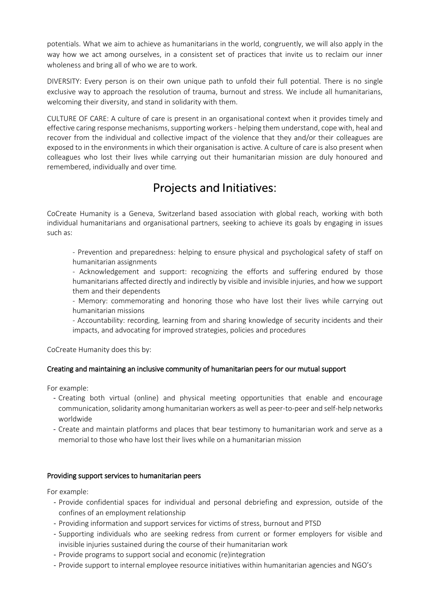potentials. What we aim to achieve as humanitarians in the world, congruently, we will also apply in the way how we act among ourselves, in a consistent set of practices that invite us to reclaim our inner wholeness and bring all of who we are to work.

DIVERSITY: Every person is on their own unique path to unfold their full potential. There is no single exclusive way to approach the resolution of trauma, burnout and stress. We include all humanitarians, welcoming their diversity, and stand in solidarity with them.

CULTURE OF CARE: A culture of care is present in an organisational context when it provides timely and effective caring response mechanisms, supporting workers - helping them understand, cope with, heal and recover from the individual and collective impact of the violence that they and/or their colleagues are exposed to in the environments in which their organisation is active. A culture of care is also present when colleagues who lost their lives while carrying out their humanitarian mission are duly honoured and remembered, individually and over time*.*

# **Projects and Initiatives:**

CoCreate Humanity is a Geneva, Switzerland based association with global reach, working with both individual humanitarians and organisational partners, seeking to achieve its goals by engaging in issues such as:

- Prevention and preparedness: helping to ensure physical and psychological safety of staff on humanitarian assignments

- Acknowledgement and support: recognizing the efforts and suffering endured by those humanitarians affected directly and indirectly by visible and invisible injuries, and how we support them and their dependents

- Memory: commemorating and honoring those who have lost their lives while carrying out humanitarian missions

- Accountability: recording, learning from and sharing knowledge of security incidents and their impacts, and advocating for improved strategies, policies and procedures

CoCreate Humanity does this by:

### Creating and maintaining an inclusive community of humanitarian peers for our mutual support

For example:

- Creating both virtual (online) and physical meeting opportunities that enable and encourage communication, solidarity among humanitarian workers as well as peer-to-peer and self-help networks worldwide
- Create and maintain platforms and places that bear testimony to humanitarian work and serve as a memorial to those who have lost their lives while on a humanitarian mission

#### Providing support services to humanitarian peers

For example:

- Provide confidential spaces for individual and personal debriefing and expression, outside of the confines of an employment relationship
- Providing information and support services for victims of stress, burnout and PTSD
- Supporting individuals who are seeking redress from current or former employers for visible and invisible injuries sustained during the course of their humanitarian work
- Provide programs to support social and economic (re)integration
- Provide support to internal employee resource initiatives within humanitarian agencies and NGO's